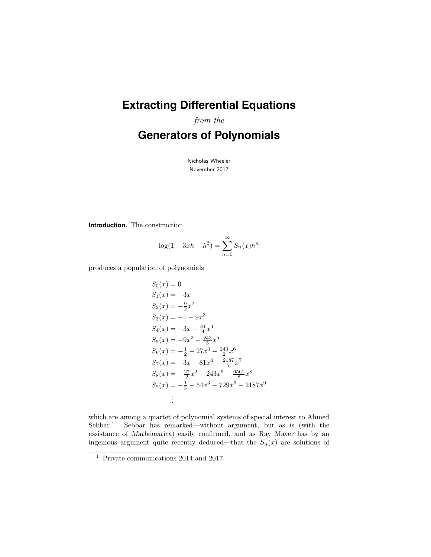# **Extracting Differential Equations**

from the

# **Generators of Polynomials**

Nicholas Wheeler November 2017

**Introduction.** The construction

$$
\log(1 - 3xh - h^{3}) = \sum_{n=0}^{\infty} S_{n}(x)h^{n}
$$

produces a population of polynomials

$$
S_0(x) = 0
$$
  
\n
$$
S_1(x) = -3x
$$
  
\n
$$
S_2(x) = -\frac{9}{2}x^2
$$
  
\n
$$
S_3(x) = -1 - 9x^3
$$
  
\n
$$
S_4(x) = -3x - \frac{81}{4}x^4
$$
  
\n
$$
S_5(x) = -9x^2 - \frac{243}{5}x^5
$$
  
\n
$$
S_6(x) = -\frac{1}{2} - 27x^3 - \frac{243}{2}x^6
$$
  
\n
$$
S_7(x) = -3x - 81x^4 - \frac{2187}{7}x^7
$$
  
\n
$$
S_8(x) = -\frac{27}{2}x^2 - 243x^5 - \frac{6561}{8}x^8
$$
  
\n
$$
S_9(x) = -\frac{1}{3} - 54x^3 - 729x^6 - 2187x^9
$$
  
\n
$$
\vdots
$$

which are among a quartet of polynomial systems of special interest to Ahmed Sebbar.<sup>1</sup> Sebbar has remarked—without argument, but as is (with the assistance of Mathematica) easily confirmed, and as Ray Mayer has by an ingenious argument quite recently deduced—that the  $S_n(x)$  are solutions of

<sup>1</sup> Private communications 2014 and 2017.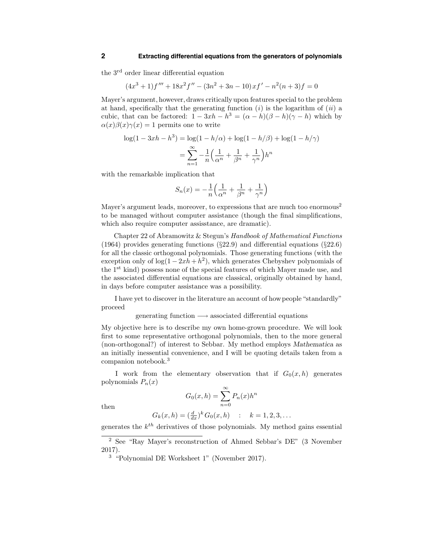the 3rd order linear differential equation

$$
(4x3 + 1)f''' + 18x2f'' - (3n2 + 3n - 10)xf' - n2(n+3)f = 0
$$

Mayer's argument, however, draws criticallyupon features special to the problem at hand, specifically that the generating function  $(i)$  is the logarithm of  $(ii)$  a cubic, that can be factored:  $1 - 3xh - h^3 = (\alpha - h)(\beta - h)(\gamma - h)$  which by  $\alpha(x)\beta(x)\gamma(x) = 1$  permits one to write

$$
\log(1 - 3xh - h^3) = \log(1 - h/\alpha) + \log(1 - h/\beta) + \log(1 - h/\gamma)
$$

$$
= \sum_{n=1}^{\infty} -\frac{1}{n} \left( \frac{1}{\alpha^n} + \frac{1}{\beta^n} + \frac{1}{\gamma^n} \right) h^n
$$

with the remarkable implication that

$$
S_n(x) = -\frac{1}{n} \left( \frac{1}{\alpha^n} + \frac{1}{\beta^n} + \frac{1}{\gamma^n} \right)
$$

Mayer's argument leads, moreover, to expressions that are much too enormous<sup>2</sup> to be managed without computer assistance (though the final simplifications, which also require computer assisstance, are dramatic).

Chapter 22 of Abramowitz & Stegun's Handbook of Mathematical Functions (1964) provides generating functions ( $\S22.9$ ) and differential equations ( $\S22.6$ ) for all the classic orthogonal polynomials. Those generating functions (with the exception only of  $log(1-2xh+h^2)$ , which generates Chebyshev polynomials of the 1<sup>st</sup> kind) possess none of the special features of which Mayer made use, and the associated differential equations are classical, originally obtained by hand, in days before computer assistance was a possibility.

I have yet to discover in the literature an account of howpeople"standardly" proceed

#### generating function  $→$  associated differential equations

My objective here is to describe my own home-grown procedure. We will look first to some representative orthogonal polynomials, then to the more general (non-orthogonal?) of interest to Sebbar. My method employs Mathematica as an initially inessential convenience, and I will be quoting details taken from a companion notebook.<sup>3</sup>

I work from the elementary observation that if  $G_0(x, h)$  generates polynomials  $P_n(x)$ 

$$
G_0(x,h) = \sum_{n=0}^{\infty} P_n(x)h^n
$$

then

$$
G_k(x, h) = \left(\frac{d}{dx}\right)^k G_0(x, h) \quad : \quad k = 1, 2, 3, \dots
$$

generates the  $k^{th}$  derivatives of those polynomials. My method gains essential

<sup>2</sup> See "Ray Mayer's reconstruction of Ahmed Sebbar's DE" (3 November 2017).

<sup>3</sup> "Polynomial DE Worksheet 1" (November 2017).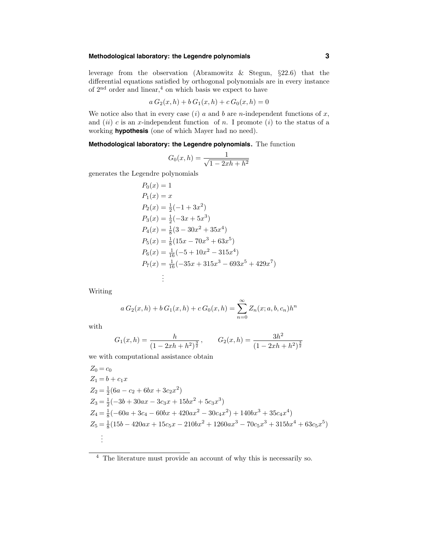# **Methodological laboratory: the Legendre polynomials 3**

leverage from the observation (Abramowitz & Stegun, §22.6) that the differential equations satisfied by orthogonal polynomials are in every instance of  $2<sup>nd</sup>$  order and linear,<sup>4</sup> on which basis we expect to have

$$
a G_2(x, h) + b G_1(x, h) + c G_0(x, h) = 0
$$

We notice also that in every case  $(i)$  a and b are n-independent functions of x, and  $(ii)$  c is an x-independent function of n. I promote  $(i)$  to the status of a working **hypothesis** (one of which Mayer had no need).

**Methodological laboratory: the Legendre polynomials.** The function

$$
G_0(x, h) = \frac{1}{\sqrt{1 - 2xh + h^2}}
$$

generates the Legendre polynomials

$$
P_0(x) = 1
$$
  
\n
$$
P_1(x) = x
$$
  
\n
$$
P_2(x) = \frac{1}{2}(-1 + 3x^2)
$$
  
\n
$$
P_3(x) = \frac{1}{2}(-3x + 5x^3)
$$
  
\n
$$
P_4(x) = \frac{1}{8}(3 - 30x^2 + 35x^4)
$$
  
\n
$$
P_5(x) = \frac{1}{8}(15x - 70x^3 + 63x^5)
$$
  
\n
$$
P_6(x) = \frac{1}{16}(-5 + 10x^2 - 315x^4)
$$
  
\n
$$
P_7(x) = \frac{1}{16}(-35x + 315x^3 - 693x^5 + 429x^7)
$$
  
\n
$$
\vdots
$$

Writing

$$
a G_2(x, h) + b G_1(x, h) + c G_0(x, h) = \sum_{n=0}^{\infty} Z_n(x; a, b, c_n) h^n
$$

with

$$
G_1(x,h) = \frac{h}{(1-2xh+h^2)^{\frac{3}{2}}}, \qquad G_2(x,h) = \frac{3h^2}{(1-2xh+h^2)^{\frac{3}{2}}}
$$

we with computational assistance obtain

$$
Z_0 = c_0
$$
  
\n
$$
Z_1 = b + c_1 x
$$
  
\n
$$
Z_2 = \frac{1}{2}(6a - c_2 + 6bx + 3c_2x^2)
$$
  
\n
$$
Z_3 = \frac{1}{2}(-3b + 30ax - 3c_3x + 15bx^2 + 5c_3x^3)
$$
  
\n
$$
Z_4 = \frac{1}{8}(-60a + 3c_4 - 60bx + 420ax^2 - 30c_4x^2) + 140bx^3 + 35c_4x^4)
$$
  
\n
$$
Z_5 = \frac{1}{8}(15b - 420ax + 15c_5x - 210bx^2 + 1260ax^3 - 70c_5x^3 + 315bx^4 + 63c_5x^5)
$$
  
\n
$$
\vdots
$$

<sup>4</sup> The literature must provide an account of why this is necessarily so.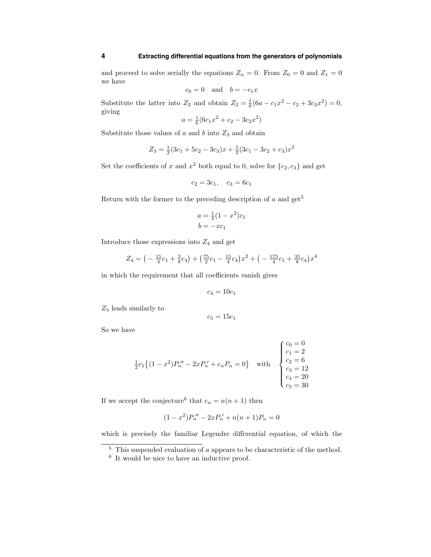### **4 Extracting differential equations from the generators of polynomials**

and proceed to solve serially the equations  $Z_n = 0$ . From  $Z_0 = 0$  and  $Z_1 = 0$ we have

$$
c_0 = 0 \quad \text{and} \quad b = -c_1 x
$$

Substitute the latter into  $Z_2$  and obtain  $Z_2 = \frac{1}{6}(6a - c_1x^2 - c_2 + 3c_2x^2) = 0$ , giving

$$
a = \frac{1}{6}(6c_1x^2 + c_2 - 3c_2x^2)
$$

Substitute those values of  $a$  and  $b$  into  $Z_3$  and obtain

$$
Z_3 = \frac{1}{2}(3c_1 + 5c_2 - 3c_3)x + \frac{5}{2}(3c_1 - 3c_2 + c_3)x^2
$$

Set the coefficients of x and  $x^2$  both equal to 0, solve for  $\{c_2, c_3\}$  and get

$$
c_2 = 3c_1, \quad c_3 = 6c_1
$$

Return with the former to the preceding description of  $a$  and  $get^5$ 

$$
a = \frac{1}{2}(1 - x^2)c_1
$$

$$
b = -xc_1
$$

Introduce those expressions into  $Z_4$  and get

$$
Z_4 = \left(-\frac{15}{4}c_1 + \frac{3}{8}c_4\right) + \left(\frac{75}{2}c_1 - \frac{15}{4}c_4\right)x^2 + \left(-\frac{175}{4}c_1 + \frac{35}{8}c_4\right)x^4
$$

in which the requirement that all coefficients vanish gives

$$
c_4=10c_1
$$

 $Z_5$  leads similarly to

$$
c_5=15c_1
$$

So we have

$$
\frac{1}{2}c_1\{(1-x^2)P_n'' - 2xP_n' + c_nP_n = 0\} \text{ with } \begin{cases} c_0 = 0\\ c_1 = 2\\ c_2 = 6\\ c_3 = 12\\ c_4 = 20\\ c_5 = 30 \end{cases}
$$

If we accept the conjecture<sup>6</sup> that  $c_n = n(n + 1)$  then

$$
(1 - x^2)P_n'' - 2xP_n' + n(n+1)P_n = 0
$$

which is precisely the familiar Legendre differential equation, of which the

 $\frac{5}{5}$  This suspended evaluation of a appears to be characteristic of the method.

<sup>6</sup> It would be nice to have an inductive proof.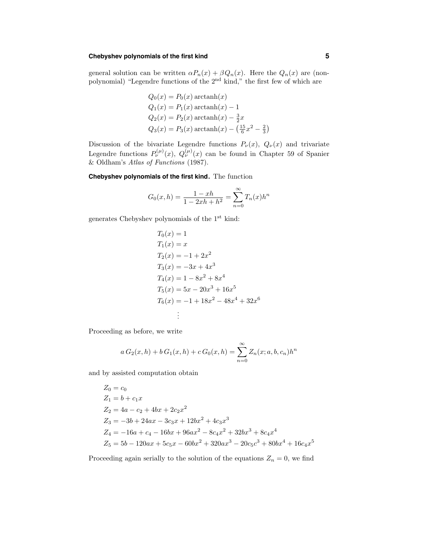### **Chebyshev polynomials of the first kind 5**

general solution can be written  $\alpha P_n(x) + \beta Q_n(x)$ . Here the  $Q_n(x)$  are (nonpolynomial) "Legendre functions of the 2<sup>nd</sup> kind," the first few of which are

$$
Q_0(x) = P_0(x) \operatorname{arctanh}(x)
$$
  
\n
$$
Q_1(x) = P_1(x) \operatorname{arctanh}(x) - 1
$$
  
\n
$$
Q_2(x) = P_2(x) \operatorname{arctanh}(x) - \frac{3}{2}x
$$
  
\n
$$
Q_3(x) = P_3(x) \operatorname{arctanh}(x) - (\frac{15}{6}x^2 - \frac{2}{3})
$$

Discussion of the bivariate Legendre functions  $P_{\nu}(x)$ ,  $Q_{\nu}(x)$  and trivariate Legendre functions  $P_{\nu}^{(\mu)}(x), Q_{\nu}^{(\mu)}(x)$  can be found in Chapter 59 of Spanier & Oldham's Atlas of Functions (1987).

**Chebyshev polynomials of the first kind.** The function

$$
G_0(x, h) = \frac{1 - xh}{1 - 2xh + h^2} = \sum_{n=0}^{\infty} T_n(x)h^n
$$

generates Chebyshev polynomials of the 1st kind:

$$
T_0(x) = 1
$$
  
\n
$$
T_1(x) = x
$$
  
\n
$$
T_2(x) = -1 + 2x^2
$$
  
\n
$$
T_3(x) = -3x + 4x^3
$$
  
\n
$$
T_4(x) = 1 - 8x^2 + 8x^4
$$
  
\n
$$
T_5(x) = 5x - 20x^3 + 16x^5
$$
  
\n
$$
T_6(x) = -1 + 18x^2 - 48x^4 + 32x^6
$$
  
\n
$$
\vdots
$$

Proceeding as before, we write

$$
a G_2(x, h) + b G_1(x, h) + c G_0(x, h) = \sum_{n=0}^{\infty} Z_n(x; a, b, c_n) h^n
$$

and by assisted computation obtain

$$
Z_0 = c_0
$$
  
\n
$$
Z_1 = b + c_1 x
$$
  
\n
$$
Z_2 = 4a - c_2 + 4bx + 2c_2x^2
$$
  
\n
$$
Z_3 = -3b + 24ax - 3c_3x + 12bx^2 + 4c_3x^3
$$
  
\n
$$
Z_4 = -16a + c_4 - 16bx + 96ax^2 - 8c_4x^2 + 32bx^3 + 8c_4x^4
$$
  
\n
$$
Z_5 = 5b - 120ax + 5c_5x - 60bx^2 + 320ax^3 - 20c_5c^3 + 80bx^4 + 16c_4x^5
$$

Proceeding again serially to the solution of the equations  $Z_n = 0$ , we find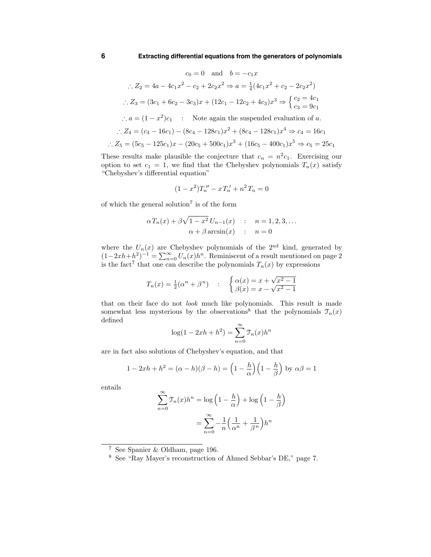$$
c_0 = 0 \text{ and } b = -c_1x
$$
  
\n
$$
\therefore Z_2 = 4a - 4c_1x^2 - c_2 + 2c_2x^2 \Rightarrow a = \frac{1}{4}(4c_1x^2 + c_2 - 2c_2x^2)
$$
  
\n
$$
\therefore Z_3 = (3c_1 + 6c_2 - 3c_3)x + (12c_1 - 12c_2 + 4c_3)x^3 \Rightarrow \begin{cases} c_2 = 4c_1 \\ c_3 = 9c_1 \end{cases}
$$
  
\n
$$
\therefore a = (1 - x^2)c_1 \qquad \text{Note again the suspended evaluation of } a.
$$
  
\n
$$
\therefore Z_4 = (c_4 - 16c_1) - (8c_4 - 128c_1)x^2 + (8c_4 - 128c_1)x^4 \Rightarrow c_4 = 16c_1
$$
  
\n
$$
\therefore Z_5 = (5c_5 - 125c_1)x - (20c_5 + 500c_1)x^3 + (16c_5 - 400c_1)x^5 \Rightarrow c_5 = 25c_1
$$

These results make plausible the conjecture that  $c_n = n^2 c_1$ . Exercising our option to set  $c_1 = 1$ , we find that the Chebyshev polynomials  $T_n(x)$  satisfy "Chebyshev's differential equation"

$$
(1 - x^2)T_n'' - xT_n' + n^2T_n = 0
$$

of which the general solution<sup>7</sup> is of the form

$$
\alpha T_n(x) + \beta \sqrt{1 - x^2} U_{n-1}(x) : n = 1, 2, 3, \dots
$$
  

$$
\alpha + \beta \arcsin(x) : n = 0
$$

where the  $U_n(x)$  are Chebyshev polynomials of the 2<sup>nd</sup> kind, generated by  $(1-2xh+h^2)^{-1} = \sum_{n=0}^{\infty} U_n(x)h^n$ . Reminiscent of a result mentioned on page 2 is the fact<sup>7</sup> that one can describe the polynomials  $T_n(x)$  by expressions

$$
T_n(x) = \frac{1}{2}(\alpha^n + \beta^n)
$$
 :  $\begin{cases} \alpha(x) = x + \sqrt{x^2 - 1} \\ \beta(x) = x - \sqrt{x^2 - 1} \end{cases}$ 

that on their face do not look much like polynomials. This result is made somewhat less mysterious by the observations<sup>8</sup> that the polynomials  $\mathcal{T}_n(x)$ defined

$$
\log(1 - 2xh + h^2) = \sum_{n=0}^{\infty} \mathcal{T}_n(x)h^n
$$

are in fact also solutions of Chebyshev's equation, and that

$$
1 - 2xh + h^{2} = (\alpha - h)(\beta - h) = \left(1 - \frac{h}{\alpha}\right)\left(1 - \frac{h}{\beta}\right) \text{ by } \alpha\beta = 1
$$

entails

$$
\sum_{n=0}^{\infty} \mathcal{T}_n(x) h^n = \log \left( 1 - \frac{h}{\alpha} \right) + \log \left( 1 - \frac{h}{\beta} \right)
$$

$$
= \sum_{n=0}^{\infty} -\frac{1}{n} \left( \frac{1}{\alpha^n} + \frac{1}{\beta^n} \right) h^n
$$

 $\frac{7}{3}$  See Spanier & Oldham, page 196.

<sup>8</sup> See "Ray Mayer's reconstruction of Ahmed Sebbar's DE," page 7.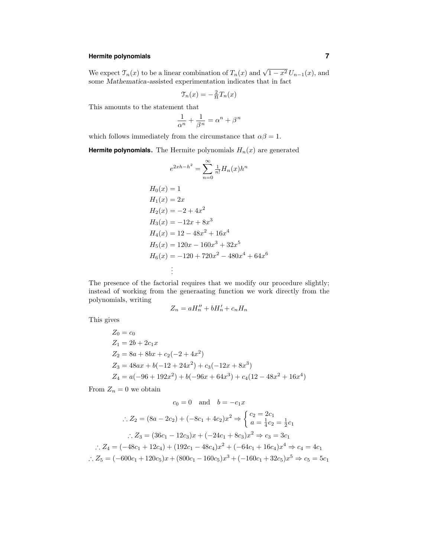# **Hermite polynomials 7**

We expect  $\mathcal{T}_n(x)$  to be a linear combination of  $T_n(x)$  and  $\sqrt{1-x^2} U_{n-1}(x)$ , and some Mathematica-assisted experimentation indicates that in fact

$$
\mathcal{T}_n(x) = -\frac{2}{n} T_n(x)
$$

This amounts to the statement that

$$
\frac{1}{\alpha^n} + \frac{1}{\beta^n} = \alpha^n + \beta^n
$$

which follows immediately from the circumstance that  $\alpha\beta = 1$ .

**Hermite polynomials.** The Hermite polynomials  $H_n(x)$  are generated

$$
e^{2xh-h^2} = \sum_{n=0}^{\infty} \frac{1}{n!} H_n(x)h^n
$$
  
\n
$$
H_0(x) = 1
$$
  
\n
$$
H_1(x) = 2x
$$
  
\n
$$
H_2(x) = -2 + 4x^2
$$
  
\n
$$
H_3(x) = -12x + 8x^3
$$
  
\n
$$
H_4(x) = 12 - 48x^2 + 16x^4
$$
  
\n
$$
H_5(x) = 120x - 160x^3 + 32x^5
$$
  
\n
$$
H_6(x) = -120 + 720x^2 - 480x^4 + 64x^6
$$
  
\n
$$
\vdots
$$

The presence of the factorial requires that we modify our procedure slightly; instead of working from the generaating function we work directly from the polynomials, writing

$$
Z_n = aH_n'' + bH_n' + c_nH_n
$$

This gives

$$
Z_0 = c_0
$$
  
\n
$$
Z_1 = 2b + 2c_1x
$$
  
\n
$$
Z_2 = 8a + 8bx + c_2(-2 + 4x^2)
$$
  
\n
$$
Z_3 = 48ax + b(-12 + 24x^2) + c_3(-12x + 8x^3)
$$
  
\n
$$
Z_4 = a(-96 + 192x^2) + b(-96x + 64x^3) + c_4(12 - 48x^2 + 16x^4)
$$

From  $Z_n = 0$  we obtain

$$
c_0 = 0 \quad \text{and} \quad b = -c_1 x
$$
  
\n
$$
\therefore Z_2 = (8a - 2c_2) + (-8c_1 + 4c_2)x^2 \Rightarrow \begin{cases} c_2 = 2c_1 \\ a = \frac{1}{4}c_2 = \frac{1}{2}c_1 \end{cases}
$$
  
\n
$$
\therefore Z_3 = (36c_1 - 12c_3)x + (-24c_1 + 8c_3)x^2 \Rightarrow c_3 = 3c_1
$$
  
\n
$$
\therefore Z_4 = (-48c_1 + 12c_4) + (192c_1 - 48c_4)x^2 + (-64c_1 + 16c_4)x^4 \Rightarrow c_4 = 4c_1
$$
  
\n
$$
\therefore Z_5 = (-600c_1 + 120c_5)x + (800c_1 - 160c_5)x^3 + (-160c_1 + 32c_5)x^5 \Rightarrow c_5 = 5c_1
$$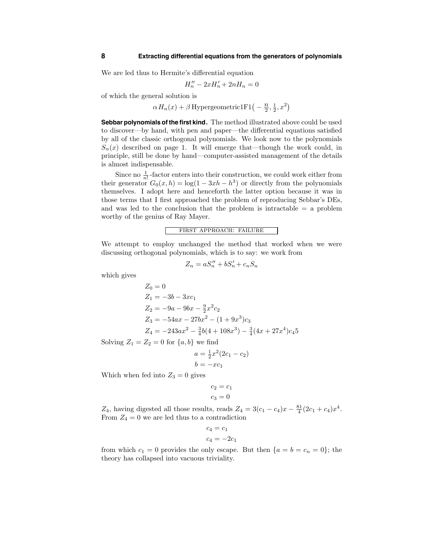We are led thus to Hermite's differential equation

$$
H_n'' - 2xH_n' + 2nH_n = 0
$$

of which the general solution is

 $\alpha H_n(x) + \beta$  Hypergeometric1F1 $\left(-\frac{n}{2}, \frac{1}{2}, x^2\right)$ 

**Sebbar polynomials of the first kind.** The method illustrated above could be used to discover—by hand, with pen and paper—the differential equations satisfied by all of the classic orthogonal polynomials. We look now to the polynomials  $S_n(x)$  described on page 1. It will emerge that—though the work could, in principle, still be done by hand—computer-assisted management of the details is almost indispensable.

Since no  $\frac{1}{n!}$ -factor enters into their construction, we could work either from their generator  $G_0(x, h) = \log(1 - 3xh - h^3)$  or directly from the polynomials themselves. I adopt here and henceforth the latter option because it was in those terms that I first approached the problem of reproducing Sebbar's DEs, and was led to the conclusion that the problem is intractable  $=$  a problem worthy of the genius of Ray Mayer.

#### first approach: failure

We attempt to employ unchanged the method that worked when we were discussing orthogonal polynomials, which is to say: we work from

$$
Z_n = aS_n'' + bS_n' + c_nS_n
$$

which gives

$$
Z_0 = 0
$$
  
\n
$$
Z_1 = -3b - 3xc_1
$$
  
\n
$$
Z_2 = -9a - 9bx - \frac{9}{2}x^2c_2
$$
  
\n
$$
Z_3 = -54ax - 27bx^2 - (1 + 9x^3)c_3
$$
  
\n
$$
Z_4 = -243ax^2 - \frac{3}{4}b(4 + 108x^3) - \frac{3}{4}(4x + 27x^4)c_45
$$

Solving  $Z_1 = Z_2 = 0$  for  $\{a, b\}$  we find

$$
a = \frac{1}{2}x^2(2c_1 - c_2)
$$

$$
b = -xc_1
$$

Which when fed into  $Z_3 = 0$  gives

$$
c_2 = c_1
$$

$$
c_3 = 0
$$

 $Z_4$ , having digested all those results, reads  $Z_4 = 3(c_1 - c_4)x - \frac{81}{4}(2c_1 + c_4)x^4$ . From  $Z_4 = 0$  we are led thus to a contradiction

$$
c_4 = c_1
$$

$$
c_4 = -2c_1
$$

from which  $c_1 = 0$  provides the only escape. But then  $\{a = b = c_n = 0\}$ ; the theory has collapsed into vacuous triviality.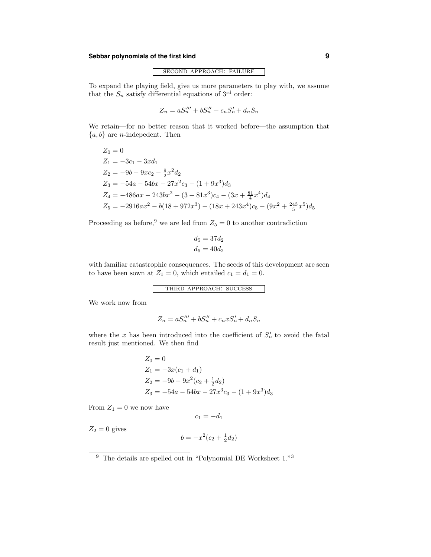### **Sebbar polynomials of the first kind 9**

#### second approach: failure

To expand the playing field, give us more parameters to play with, we assume that the  $S_n$  satisfy differential equations of  $3^{\text{rd}}$  order:

$$
Z_n = aS_n''' + bS_n'' + c_nS_n' + d_nS_n
$$

We retain—for no better reason that it worked before—the assumption that  ${a, b}$  are *n*-indepedent. Then

$$
Z_0 = 0
$$
  
\n
$$
Z_1 = -3c_1 - 3xd_1
$$
  
\n
$$
Z_2 = -9b - 9xc_2 - \frac{9}{2}x^2d_2
$$
  
\n
$$
Z_3 = -54a - 54bx - 27x^2c_3 - (1 + 9x^3)d_3
$$
  
\n
$$
Z_4 = -486ax - 243bx^2 - (3 + 81x^3)c_4 - (3x + \frac{81}{4}x^4)d_4
$$
  
\n
$$
Z_5 = -2916ax^2 - b(18 + 972x^3) - (18x + 243x^4)c_5 - (9x^2 + \frac{243}{5}x^5)d_5
$$

Proceeding as before,<sup>9</sup> we are led from  $Z_5 = 0$  to another contradiction

$$
d_5 = 37d_2
$$
  

$$
d_5 = 40d_2
$$

with familiar catastrophic consequences. The seeds of this development are seen to have been sown at  $Z_1 = 0$ , which entailed  $c_1 = d_1 = 0$ .

```
third approach: success
```
We work now from

$$
Z_n = aS_n''' + bS_n'' + c_n xS_n' + d_nS_n
$$

where the x has been introduced into the coefficient of  $S_n'$  to avoid the fatal result just mentioned. We then find

$$
Z_0 = 0
$$
  
\n
$$
Z_1 = -3x(c_1 + d_1)
$$
  
\n
$$
Z_2 = -9b - 9x^2(c_2 + \frac{1}{2}d_2)
$$
  
\n
$$
Z_3 = -54a - 54bx - 27x^3c_3 - (1 + 9x^3)d_3
$$

From  $\mathbb{Z}_1=0$  we now have

 $c_1 = -d_1$ 

 $Z_2 = 0$  gives

$$
b = -x^2(c_2 + \frac{1}{2}d_2)
$$

 $9$  The details are spelled out in "Polynomial DE Worksheet 1."<sup>3</sup>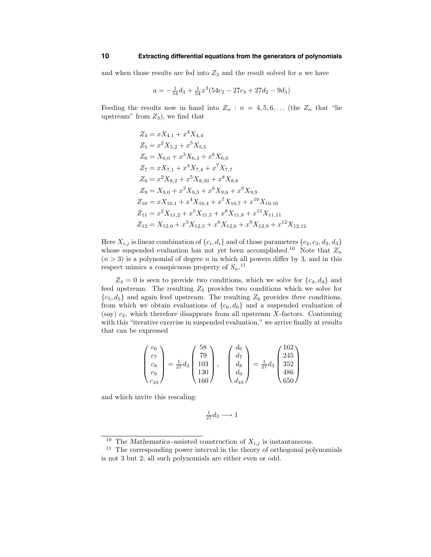#### **10 Extracting differential equations from the generators of polynomials**

and when those results are fed into  $Z_3$  and the result solved for  $a$  we have

$$
a = -\frac{1}{54}d_3 + \frac{1}{54}x^3(54c_2 - 27c_3 + 27d_2 - 9d_3)
$$

Feeding the results now in hand into  $Z_n$ :  $n = 4, 5, 6, \ldots$  (the  $Z_n$  that "lie") upstream" from  $Z_3$ ), we find that

$$
Z_4 = xX_{4,1} + x^4 X_{4,4}
$$
  
\n
$$
Z_5 = x^2 X_{5,2} + x^5 X_{5,5}
$$
  
\n
$$
Z_6 = X_{6,0} + x^3 X_{6,3} + x^6 X_{6,6}
$$
  
\n
$$
Z_7 = xX_{7,1} + x^4 X_{7,4} + x^7 X_{7,7}
$$
  
\n
$$
Z_8 = x^2 X_{8,2} + x^5 X_{8,50} + x^8 X_{8,8}
$$
  
\n
$$
Z_9 = X_{9,0} + x^3 X_{9,3} + x^6 X_{9,6} + x^9 X_{9,9}
$$
  
\n
$$
Z_{10} = xX_{10,1} + x^4 X_{10,4} + x^7 X_{10,7} + x^{10} X_{10,10}
$$
  
\n
$$
Z_{11} = x^2 X_{11,2} + x^5 X_{11,5} + x^8 X_{11,8} + x^{11} X_{11,11}
$$
  
\n
$$
Z_{12} = X_{12,0} + x^3 X_{12,3} + x^6 X_{12,6} + x^9 X_{12,9} + x^{12} X_{12,12}
$$

Here  $X_{i,j}$  is linear combination of  $\{c_i, d_i\}$  and of those parameters  $\{c_2, c_3, d_2, d_3\}$ whose suspended evaluation has not yet been accomplished.<sup>10</sup> Note that  $Z_n$  $(n > 3)$  is a polynomial of degree n in which all powers differ by 3, and in this respect mimics a conspicuous property of  $S_n$ .<sup>11</sup>

 $Z_4 = 0$  is seen to provide two conditions, which we solve for  $\{c_4, d_4\}$  and feed upstream. The resulting  $Z_5$  provides two conditions which we solve for  ${c_5, d_5}$  and again feed upstream. The resulting  $Z_6$  provides three conditions, from which we obtain evaluations of  ${c_6, d_6}$  and a suspended evaluation of (say)  $c_2$ , which therefore disappears from all upstream X-factors. Continuing with this "iterative exercise in suspended evaluation," we arrive finally at results that can be expressed

$$
\begin{pmatrix} c_6 \\ c_7 \\ c_8 \\ c_9 \\ c_{10} \end{pmatrix} = \frac{1}{27} d_3 \begin{pmatrix} 58 \\ 79 \\ 103 \\ 130 \\ 160 \end{pmatrix}, \quad \begin{pmatrix} d_6 \\ d_7 \\ d_8 \\ d_9 \\ d_{10} \end{pmatrix} = \frac{1}{27} d_3 \begin{pmatrix} 162 \\ 245 \\ 352 \\ 486 \\ 650 \end{pmatrix}
$$

and which invite this rescaling:

$$
\frac{1}{27}d_3 \longrightarrow 1
$$

<sup>&</sup>lt;sup>10</sup> The Mathematica-assisted construction of  $X_{i,j}$  is instantaneous.

 $11$  The corresponding power interval in the theory of orthogonal polynomials is not 3 but 2; all such polynomials are either even or odd.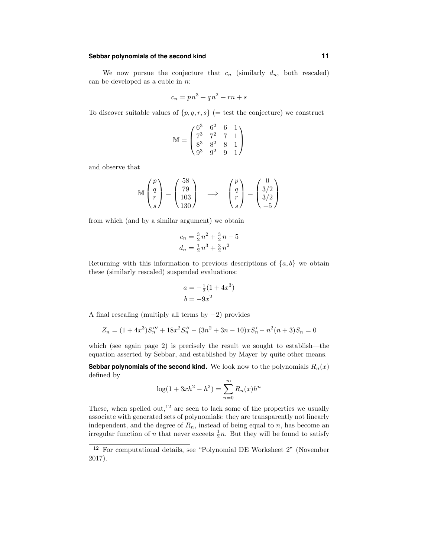#### **Sebbar polynomials of the second kind 11**

We now pursue the conjecture that  $c_n$  (similarly  $d_n$ , both rescaled) can be developed as a cubic in  $n$ .

$$
c_n = pn^3 + qn^2 + rn + s
$$

To discover suitable values of  $\{p,q,r,s\}$  (= test the conjecture) we construct

$$
\mathbb{M} = \begin{pmatrix} 6^3 & 6^2 & 6 & 1 \\ 7^3 & 7^2 & 7 & 1 \\ 8^3 & 8^2 & 8 & 1 \\ 9^3 & 9^2 & 9 & 1 \end{pmatrix}
$$

and observe that

$$
\mathbb{M}\begin{pmatrix}p\\q\\r\\s\end{pmatrix} = \begin{pmatrix}58\\79\\103\\130\end{pmatrix} \implies \begin{pmatrix}p\\q\\r\\s\end{pmatrix} = \begin{pmatrix}0\\3/2\\3/2\\-5\end{pmatrix}
$$

from which (and by a similar argument) we obtain

$$
c_n = \frac{3}{2}n^2 + \frac{3}{2}n - 5
$$
  

$$
d_n = \frac{1}{2}n^3 + \frac{3}{2}n^2
$$

Returning with this information to previous descriptions of  $\{a, b\}$  we obtain these (similarly rescaled) suspended evaluations:

$$
a = -\frac{1}{2}(1 + 4x^3)
$$
  

$$
b = -9x^2
$$

A final rescaling (multiply all terms by −2) provides

$$
Z_n = (1 + 4x^3)S_n''' + 18x^2S_n'' - (3n^2 + 3n - 10)xS_n' - n^2(n+3)S_n = 0
$$

which (see again page 2) is precisely the result we sought to establish—the equation asserted by Sebbar, and established by Mayer by quite other means.

**Sebbar polynomials of the second kind.** We look now to the polynomials  $R_n(x)$ defined by

$$
\log(1 + 3xh^2 - h^3) = \sum_{n=0}^{\infty} R_n(x)h^n
$$

These, when spelled out,<sup>12</sup> are seen to lack some of the properties we usually associate with generated sets of polynomials: they are transparently not linearly independent, and the degree of  $R_n$ , instead of being equal to n, has become an irregular function of *n* that never exceets  $\frac{1}{2}n$ . But they will be found to satisfy

<sup>12</sup> For computational details, see "Polynomial DE Worksheet 2" (November 2017).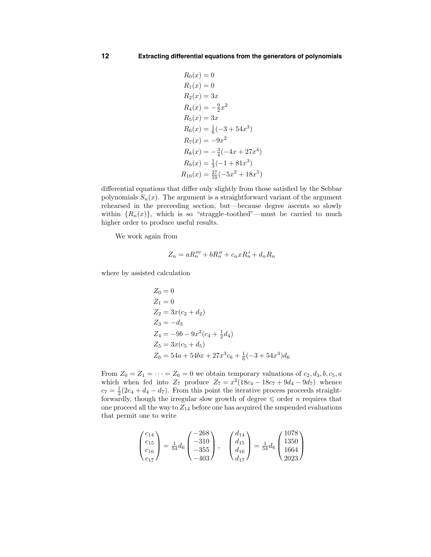$$
R_0(x) = 0
$$
  
\n
$$
R_1(x) = 0
$$
  
\n
$$
R_2(x) = 3x
$$
  
\n
$$
R_4(x) = -\frac{9}{2}x^2
$$
  
\n
$$
R_5(x) = 3x
$$
  
\n
$$
R_6(x) = \frac{1}{6}(-3 + 54x^3)
$$
  
\n
$$
R_7(x) = -9x^2
$$
  
\n
$$
R_8(x) = -\frac{3}{4}(-4x + 27x^4)
$$
  
\n
$$
R_9(x) = \frac{1}{3}(-1 + 81x^3)
$$
  
\n
$$
R_{10}(x) = \frac{27}{10}(-5x^2 + 18x^5)
$$

differential equations that differ only slightly from those satisfied by the Sebbar polynomials  $S_n(x)$ . The argument is a straightforward variant of the argument rehearsed in the preceeding section, but—because degree ascents so slowly within  ${R_n(x)}$ , which is so "straggle-toothed"—must be carried to much higher order to produce useful results.

We work again from

$$
Z_n = aR_n''' + bR_n'' + c_nxR_n' + d_nR_n
$$

where by assisted calculation

$$
Z_0 = 0
$$
  
\n
$$
Z_1 = 0
$$
  
\n
$$
Z_2 = 3x(c_2 + d_2)
$$
  
\n
$$
Z_3 = -d_3
$$
  
\n
$$
Z_4 = -9b - 9x^2(c_4 + \frac{1}{2}d_4)
$$
  
\n
$$
Z_5 = 3x(c_5 + d_5)
$$
  
\n
$$
Z_6 = 54a + 54bx + 27x^3c_6 + \frac{1}{6}(-3 + 54x^3)d_6
$$

From  $Z_0 = Z_1 = \cdots = Z_6 = 0$  we obtain temporary valuations of  $c_2, d_3, b, c_5, a$ which when fed into  $Z_7$  produce  $Z_7 = x^2(18c_4 - 18c_7 + 9d_4 - 9d_7)$  whence  $c_7 = \frac{1}{2}(2c_4 + d_4 - d_7)$ . From this point the iterative process proceeds straightforwardly, though the irregular slow growth of degree  $\leq$  order n requires that one proceed all the way to  $Z_{14}$  before one has acquired the suspended evaluations that permit one to write

$$
\begin{pmatrix} c_{14} \\ c_{15} \\ c_{16} \\ c_{17} \end{pmatrix} = \frac{1}{54} d_6 \begin{pmatrix} -268 \\ -310 \\ -355 \\ -403 \end{pmatrix}, \quad \begin{pmatrix} d_{14} \\ d_{15} \\ d_{16} \\ d_{17} \end{pmatrix} = \frac{1}{54} d_6 \begin{pmatrix} 1078 \\ 1350 \\ 1664 \\ 2023 \end{pmatrix}
$$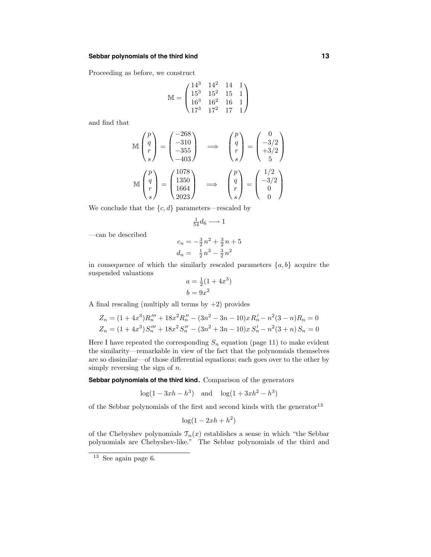#### **Sebbar polynomials of the third kind 13**

Proceeding as before, we construct

$$
\mathbb{M} = \begin{pmatrix} 14^3 & 14^2 & 14 & 1 \\ 15^3 & 15^2 & 15 & 1 \\ 16^3 & 16^2 & 16 & 1 \\ 17^3 & 17^2 & 17 & 1 \end{pmatrix}
$$

and find that

$$
\mathbb{M}\begin{pmatrix}p\\q\\r\\s\end{pmatrix} = \begin{pmatrix}-268\\-310\\-355\\-403\end{pmatrix} \implies \begin{pmatrix}p\\q\\r\\s\end{pmatrix} = \begin{pmatrix}0\\-3/2\\+3/2\\5\end{pmatrix}
$$

$$
\mathbb{M}\begin{pmatrix}p\\q\\r\\s\end{pmatrix} = \begin{pmatrix}1078\\1350\\1664\\2023\end{pmatrix} \implies \begin{pmatrix}p\\q\\r\\s\end{pmatrix} = \begin{pmatrix}1/2\\-3/2\\0\\0\end{pmatrix}
$$

We conclude that the  $\{c, d\}$  parameters—rescaled by

$$
\tfrac{1}{54}d_6 \longrightarrow 1
$$

—can be described

$$
c_n = -\frac{3}{2}n^2 + \frac{3}{2}n + 5
$$
  

$$
d_n = \frac{1}{2}n^3 - \frac{3}{2}n^2
$$

in consequence of which the similarly rescaled parameters  $\{a, b\}$  acquire the suspended valuations

$$
a = \frac{1}{2}(1 + 4x^3)
$$
  

$$
b = 9x^2
$$

A final rescaling (multiply all terms by  $+2$ ) provides

$$
Z_n = (1 + 4x^3)R_n''' + 18x^2R_n'' - (3n^2 - 3n - 10)xR_n' - n^2(3 - n)R_n = 0
$$
  

$$
Z_n = (1 + 4x^3)S_n''' + 18x^2S_n'' - (3n^2 + 3n - 10)xS_n' - n^2(3 + n)S_n = 0
$$

Here I have repeated the corresponding  $S_n$  equation (page 11) to make evident the similarity—remarkable in view of the fact that the polynomials themselves are so dissimilar—of those differential equations; each goes over to the other by simply reversing the sign of  $n$ .

**Sebbar polynomials of the third kind.** Comparison of the generators

$$
log(1 - 3xh - h^3)
$$
 and  $log(1 + 3xh^2 - h^3)$ 

of the Sebbar polynomials of the first and second kinds with the generator  $^{13}$ 

$$
\log(1 - 2xh + h^2)
$$

of the Chebyshev polynomials  $\mathfrak{T}_n(x)$  establishes a sense in which "the Sebbar polynomials are Chebyshev-like." The Sebbar polynomials of the third and

 $13$  See again page 6.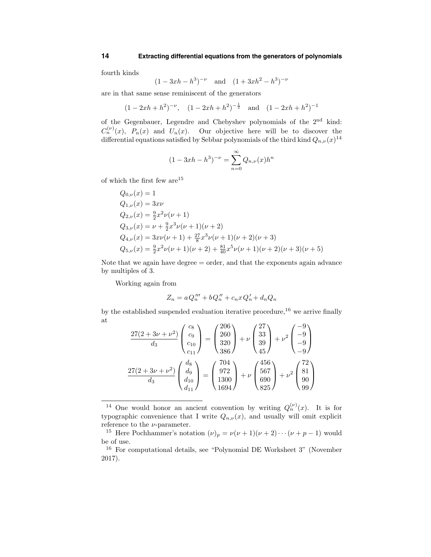fourth kinds

$$
(1-3xh-h^3)^{-\nu}
$$
 and  $(1+3xh^2-h^3)^{-\nu}$ 

are in that same sense reminiscent of the generators

$$
(1-2xh+h^2)^{-\nu}
$$
,  $(1-2xh+h^2)^{-\frac{1}{2}}$  and  $(1-2xh+h^2)^{-1}$ 

of the Gegenbauer, Legendre and Chebyshev polynomials of the 2nd kind:  $C_n^{(\nu)}(x)$ ,  $P_n(x)$  and  $U_n(x)$ . Our objective here will be to discover the differential equations satisfied by Sebbar polynomials of the third kind  $Q_{n,\nu}(x)^{14}$ 

$$
(1 - 3xh - h^{3})^{-\nu} = \sum_{n=0}^{\infty} Q_{n,\nu}(x)h^{n}
$$

of which the first few are<sup>15</sup>

$$
Q_{0,\nu}(x) = 1
$$
  
\n
$$
Q_{1,\nu}(x) = 3x\nu
$$
  
\n
$$
Q_{2,\nu}(x) = \frac{9}{2}x^2\nu(\nu + 1)
$$
  
\n
$$
Q_{3,\nu}(x) = \nu + \frac{9}{2}x^3\nu(\nu + 1)(\nu + 2)
$$
  
\n
$$
Q_{4,\nu}(x) = 3x\nu(\nu + 1) + \frac{27}{8}x^3\nu(\nu + 1)(\nu + 2)(\nu + 3)
$$
  
\n
$$
Q_{5,\nu}(x) = \frac{9}{2}x^2\nu(\nu + 1)(\nu + 2) + \frac{81}{40}x^5\nu(\nu + 1)(\nu + 2)(\nu + 3)(\nu + 5)
$$

Note that we again have degree  $=$  order, and that the exponents again advance by multiples of 3.

Working again from

$$
Z_n = aQ_n''' + bQ_n'' + c_nxQ_n' + d_nQ_n
$$

by the established suspended evaluation iterative procedure,  $16$  we arrive finally at

$$
\frac{27(2+3\nu+\nu^2)}{d_3} \begin{pmatrix} c_8\\c_9\\c_{10}\\c_{11}\end{pmatrix} = \begin{pmatrix} 206\\260\\320\\386\end{pmatrix} + \nu \begin{pmatrix} 27\\33\\39\\45\end{pmatrix} + \nu^2 \begin{pmatrix} -9\\-9\\-9\\-9\end{pmatrix}
$$

$$
\frac{27(2+3\nu+\nu^2)}{d_3} \begin{pmatrix} d_8\\d_{10}\\d_{11}\end{pmatrix} = \begin{pmatrix} 704\\972\\1300\\1694\end{pmatrix} + \nu \begin{pmatrix} 456\\567\\690\\825\end{pmatrix} + \nu^2 \begin{pmatrix} 72\\81\\90\\99\end{pmatrix}
$$

<sup>&</sup>lt;sup>14</sup> One would honor an ancient convention by writing  $Q_n^{(\nu)}(x)$ . It is for typographic convenience that I write  $Q_{n,\nu}(x)$ , and usually will omit explicit reference to the  $\nu$ -parameter.

<sup>&</sup>lt;sup>15</sup> Here Pochhammer's notation  $(\nu)_p = \nu(\nu+1)(\nu+2)\cdots(\nu+p-1)$  would be of use.

<sup>16</sup> For computational details, see "Polynomial DE Worksheet 3" (November 2017).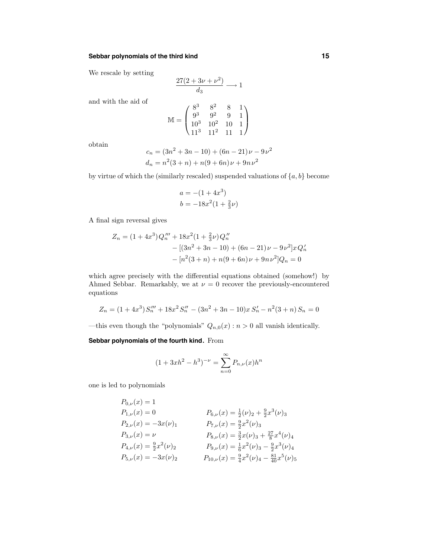### **Sebbar polynomials of the third kind 15**

We rescale by setting

$$
\frac{27(2+3\nu+\nu^2)}{d_3} \longrightarrow 1
$$

and with the aid of

$$
\mathbb{M} = \begin{pmatrix} 8^3 & 8^2 & 8 & 1 \\ 9^3 & 9^2 & 9 & 1 \\ 10^3 & 10^2 & 10 & 1 \\ 11^3 & 11^2 & 11 & 1 \end{pmatrix}
$$

obtain

$$
c_n = (3n^2 + 3n - 10) + (6n - 21)\nu - 9\nu^2
$$
  

$$
d_n = n^2(3+n) + n(9+6n)\nu + 9n\nu^2
$$

by virtue of which the (similarly rescaled) suspended valuations of  $\{a, b\}$  become

$$
a = -(1 + 4x3)
$$
  

$$
b = -18x2(1 + \frac{2}{3}\nu)
$$

A final sign reversal gives

$$
Z_n = (1 + 4x^3)Q_n''' + 18x^2(1 + \frac{2}{3}\nu)Q_n''
$$
  
 
$$
- [(3n^2 + 3n - 10) + (6n - 21)\nu - 9\nu^2]xQ_n'
$$
  
 
$$
- [n^2(3 + n) + n(9 + 6n)\nu + 9n\nu^2]Q_n = 0
$$

which agree precisely with the differential equations obtained (somehow!) by Ahmed Sebbar. Remarkably, we at  $\nu = 0$  recover the previously-encountered equations

$$
Z_n = (1 + 4x^3)S_n''' + 18x^2S_n'' - (3n^2 + 3n - 10)xS_n' - n^2(3 + n)S_n = 0
$$

—this even though the "polynomials"  $Q_{n,0}(x)$ :  $n > 0$  all vanish identically.

## **Sebbar polynomials of the fourth kind.** From

$$
(1+3xh^2-h^3)^{-\nu} = \sum_{n=0}^{\infty} P_{n,\nu}(x)h^n
$$

one is led to polynomials

$$
P_{0,\nu}(x) = 1
$$
  
\n
$$
P_{1,\nu}(x) = 0
$$
  
\n
$$
P_{2,\nu}(x) = -3x(\nu)_1
$$
  
\n
$$
P_{3,\nu}(x) = \nu
$$
  
\n
$$
P_{4,\nu}(x) = \frac{9}{2}x^2(\nu)_3
$$
  
\n
$$
P_{4,\nu}(x) = \frac{9}{2}x^2(\nu)_2
$$
  
\n
$$
P_{5,\nu}(x) = \frac{3}{6}x^2(\nu)_3 + \frac{27}{8}x^4(\nu)_4
$$
  
\n
$$
P_{4,\nu}(x) = \frac{9}{2}x^2(\nu)_2
$$
  
\n
$$
P_{5,\nu}(x) = -3x(\nu)_2
$$
  
\n
$$
P_{6,\nu}(x) = \frac{1}{6}x^2(\nu)_3 - \frac{9}{2}x^3(\nu)_4
$$
  
\n
$$
P_{5,\nu}(x) = -3x(\nu)_2
$$
  
\n
$$
P_{10,\nu}(x) = \frac{9}{4}x^2(\nu)_4 - \frac{81}{40}x^5(\nu)_5
$$